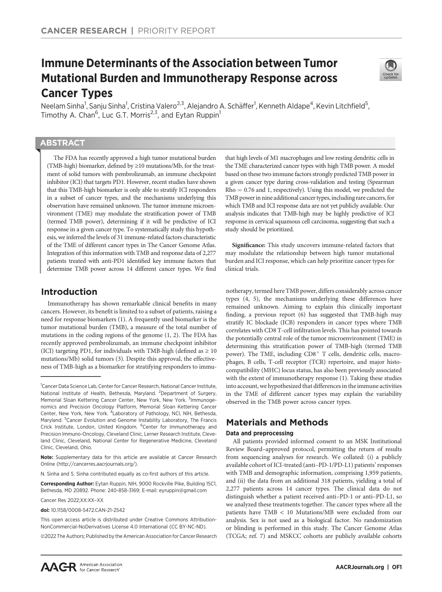# Immune Determinants of the Association between Tumor Mutational Burden and Immunotherapy Response across Cancer Types



Neelam Sinha<sup>1</sup>, Sanju Sinha<sup>1</sup>, Cristina Valero<sup>2,3</sup>, Alejandro A. Schäffer<sup>1</sup>, Kenneth Aldape<sup>4</sup>, Kevin Litchfield<sup>5</sup>, Timothy A. Chan<sup>6</sup>, Luc G.T. Morris<sup>2,3</sup>, and Eytan Ruppin<sup>1</sup>

# **ABSTRACT**

◥

The FDA has recently approved a high tumor mutational burden (TMB-high) biomarker, defined by ≥10 mutations/Mb, for the treatment of solid tumors with pembrolizumab, an immune checkpoint inhibitor (ICI) that targets PD1. However, recent studies have shown that this TMB-high biomarker is only able to stratify ICI responders in a subset of cancer types, and the mechanisms underlying this observation have remained unknown. The tumor immune microenvironment (TME) may modulate the stratification power of TMB (termed TMB power), determining if it will be predictive of ICI response in a given cancer type. To systematically study this hypothesis, we inferred the levels of 31 immune-related factors characteristic of the TME of different cancer types in The Cancer Genome Atlas. Integration of this information with TMB and response data of 2,277 patients treated with anti-PD1 identified key immune factors that determine TMB power across 14 different cancer types. We find

# Introduction

Immunotherapy has shown remarkable clinical benefits in many cancers. However, its benefit is limited to a subset of patients, raising a need for response biomarkers (1). A frequently used biomarker is the tumor mutational burden (TMB), a measure of the total number of mutations in the coding regions of the genome (1, 2). The FDA has recently approved pembrolizumab, an immune checkpoint inhibitor (ICI) targeting PD1, for individuals with TMB-high (defined as  $\geq 10$ mutations/Mb) solid tumors (3). Despite this approval, the effectiveness of TMB-high as a biomarker for stratifying responders to immu-

Corresponding Author: Eytan Ruppin, NIH, 9000 Rockville Pike, Building 15C1, Bethesda, MD 20892. Phone: 240-858-3169; E-mail: eyruppin@gmail.com

Cancer Res 2022;XX:XX–XX

doi: 10.1158/0008-5472.CAN-21-2542

2022 The Authors; Published by the American Association for Cancer Research

that high levels of M1 macrophages and low resting dendritic cells in the TME characterized cancer types with high TMB power. A model based on these two immune factors strongly predicted TMB power in a given cancer type during cross-validation and testing (Spearman  $Rho = 0.76$  and 1, respectively). Using this model, we predicted the TMB power in nine additional cancer types, including rare cancers, for which TMB and ICI response data are not yet publicly available. Our analysis indicates that TMB-high may be highly predictive of ICI response in cervical squamous cell carcinoma, suggesting that such a study should be prioritized.

Significance: This study uncovers immune-related factors that may modulate the relationship between high tumor mutational burden and ICI response, which can help prioritize cancer types for clinical trials.

notherapy, termed here TMB power, differs considerably across cancer types (4, 5), the mechanisms underlying these differences have remained unknown. Aiming to explain this clinically important finding, a previous report (6) has suggested that TMB-high may stratify IC blockade (ICB) responders in cancer types where TMB correlates with CD8 T-cell infiltration levels. This has pointed towards the potentially central role of the tumor microenvironment (TME) in determining this stratification power of TMB-high (termed TMB power). The TME, including  $CDS<sup>+</sup>$  T cells, dendritic cells, macrophages, B cells, T-cell receptor (TCR) repertoire, and major histocompatibility (MHC) locus status, has also been previously associated with the extent of immunotherapy response (1). Taking these studies into account, we hypothesized that differences in the immune activities in the TME of different cancer types may explain the variability observed in the TMB power across cancer types.

# Materials and Methods

# Data and preprocessing

All patients provided informed consent to an MSK Institutional Review Board–approved protocol, permitting the return of results from sequencing analyses for research. We collated: (i) a publicly available cohort of ICI-treated (anti–PD-1/PD-L1) patients' responses with TMB and demographic information, comprising 1,959 patients, and (ii) the data from an additional 318 patients, yielding a total of 2,277 patients across 14 cancer types. The clinical data do not distinguish whether a patient received anti–PD-1 or anti–PD-L1, so we analyzed these treatments together. The cancer types where all the patients have TMB < 10 Mutations/MB were excluded from our analysis. Sex is not used as a biological factor. No randomization or blinding is performed in this study. The Cancer Genome Atlas (TCGA; ref. 7) and MSKCC cohorts are publicly available cohorts

<sup>&</sup>lt;sup>1</sup>Cancer Data Science Lab, Center for Cancer Research, National Cancer Institute, National Institute of Health, Bethesda, Maryland. <sup>2</sup>Department of Surgery, Memorial Sloan Kettering Cancer Center, New York, New York. <sup>3</sup>Immunogenomics and Precision Oncology Platform, Memorial Sloan Kettering Cancer<br>Center, New York, New York. <sup>4</sup>Laboratory of Pathology, NCI, NIH, Bethesda, Maryland. <sup>5</sup> Cancer Evolution and Genome Instability Laboratory, The Francis Crick Institute, London, United Kingdom. <sup>6</sup>Center for Immunotherapy and Precision Immuno-Oncology, Cleveland Clinic, Lerner Research Institute, Cleveland Clinic, Cleveland, National Center for Regenerative Medicine, Cleveland Clinic, Cleveland, Ohio.

Note: Supplementary data for this article are available at Cancer Research Online (http://cancerres.aacrjournals.org/).

N. Sinha and S. Sinha contributed equally as co-first authors of this article.

This open access article is distributed under Creative Commons Attribution-NonCommercial-NoDerivatives License 4.0 International (CC BY-NC-ND).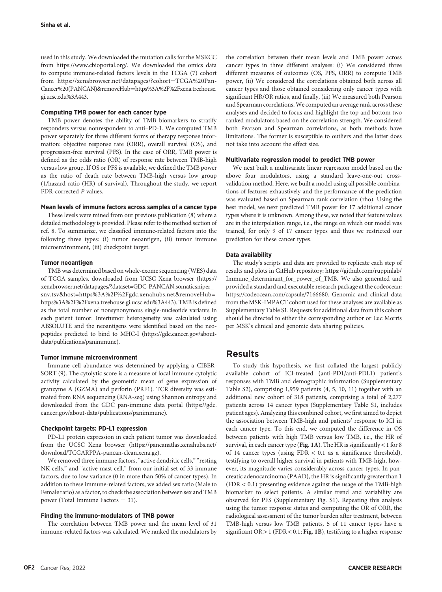used in this study. We downloaded the mutation calls for the MSKCC from<https://www.cbioportal.org/>. We downloaded the omics data to compute immune-related factors levels in the TCGA (7) cohort from [https://xenabrowser.net/datapages/?cohort](https://xenabrowser.net/datapages/?cohort=TCGA%20Pan-Cancer%20(PANCAN)&removeHub=https%3A%2F%2Fxena.treehouse.gi.ucsc.edu%3A443)=[TCGA%20Pan-](https://xenabrowser.net/datapages/?cohort=TCGA%20Pan-Cancer%20(PANCAN)&removeHub=https%3A%2F%2Fxena.treehouse.gi.ucsc.edu%3A443)[Cancer%20\(PANCAN\)&removeHub](https://xenabrowser.net/datapages/?cohort=TCGA%20Pan-Cancer%20(PANCAN)&removeHub=https%3A%2F%2Fxena.treehouse.gi.ucsc.edu%3A443)=[https%3A%2F%2Fxena.treehouse.](https://xenabrowser.net/datapages/?cohort=TCGA%20Pan-Cancer%20(PANCAN)&removeHub=https%3A%2F%2Fxena.treehouse.gi.ucsc.edu%3A443) [gi.ucsc.edu%3A443.](https://xenabrowser.net/datapages/?cohort=TCGA%20Pan-Cancer%20(PANCAN)&removeHub=https%3A%2F%2Fxena.treehouse.gi.ucsc.edu%3A443)

### Computing TMB power for each cancer type

TMB power denotes the ability of TMB biomarkers to stratify responders versus nonresponders to anti–PD-1. We computed TMB power separately for three different forms of therapy response information: objective response rate (ORR), overall survival (OS), and progression-free survival (PFS). In the case of ORR, TMB power is defined as the odds ratio (OR) of response rate between TMB-high versus low group. If OS or PFS is available, we defined the TMB power as the ratio of death rate between TMB-high versus low group (1/hazard ratio (HR) of survival). Throughout the study, we report FDR-corrected P values.

### Mean levels of immune factors across samples of a cancer type

These levels were mined from our previous publication (8) where a detailed methodology is provided. Please refer to the method section of ref. 8. To summarize, we classified immune-related factors into the following three types: (i) tumor neoantigen, (ii) tumor immune microenvironment, (iii) checkpoint target.

### Tumor neoantigen

TMB was determined based on whole-exome sequencing (WES) data of TCGA samples. downloaded from UCSC Xena browser [\(https://](https://xenabrowser.net/datapages/?dataset=GDC-PANCAN.somaticsniper_snv.tsv&host=https%3A%2F%2Fgdc.xenahubs.net&removeHub=https%3A%2F%2Fxena.treehouse.gi.ucsc.edu%3A443) [xenabrowser.net/datapages/?dataset=GDC-PANCAN.somaticsniper\\_](https://xenabrowser.net/datapages/?dataset=GDC-PANCAN.somaticsniper_snv.tsv&host=https%3A%2F%2Fgdc.xenahubs.net&removeHub=https%3A%2F%2Fxena.treehouse.gi.ucsc.edu%3A443) [snv.tsv&host=https%3A%2F%2Fgdc.xenahubs.net&removeHub=](https://xenabrowser.net/datapages/?dataset=GDC-PANCAN.somaticsniper_snv.tsv&host=https%3A%2F%2Fgdc.xenahubs.net&removeHub=https%3A%2F%2Fxena.treehouse.gi.ucsc.edu%3A443) [https%3A%2F%2Fxena.treehouse.gi.ucsc.edu%3A443](https://xenabrowser.net/datapages/?dataset=GDC-PANCAN.somaticsniper_snv.tsv&host=https%3A%2F%2Fgdc.xenahubs.net&removeHub=https%3A%2F%2Fxena.treehouse.gi.ucsc.edu%3A443)). TMB is defined as the total number of nonsynonymous single-nucleotide variants in each patient tumor. Intertumor heterogeneity was calculated using ABSOLUTE and the neoantigens were identified based on the neopeptides predicted to bind to MHC-I ([https://gdc.cancer.gov/about](https://gdc.cancer.gov/about-data/publications/panimmune)[data/publications/panimmune](https://gdc.cancer.gov/about-data/publications/panimmune)).

### Tumor immune microenvironment

Immune cell abundance was determined by applying a CIBER-SORT (9). The cytolytic score is a measure of local immune cytolytic activity calculated by the geometric mean of gene expression of granzyme A (GZMA) and perforin (PRF1). TCR diversity was estimated from RNA sequencing (RNA-seq) using Shannon entropy and downloaded from the GDC pan-immune data portal ([https://gdc.](https://gdc.cancer.gov/about-data/publications/panimmune) [cancer.gov/about-data/publications/panimmune\)](https://gdc.cancer.gov/about-data/publications/panimmune).

## Checkpoint targets: PD-L1 expression

PD-L1 protein expression in each patient tumor was downloaded from the UCSC Xena browser ([https://pancanatlas.xenahubs.net/](https://pancanatlas.xenahubs.net/download/TCGARPPA-pancan-clean.xena.gz) [download/TCGARPPA-pancan-clean.xena.gz](https://pancanatlas.xenahubs.net/download/TCGARPPA-pancan-clean.xena.gz)).

We removed three immune factors, "active dendritic cells," "resting NK cells," and "active mast cell," from our initial set of 33 immune factors, due to low variance (0 in more than 50% of cancer types). In addition to these immune-related factors, we added sex ratio (Male to Female ratio) as a factor, to check the association between sex and TMB power (Total Immune Factors  $= 31$ ).

## Finding the immuno-modulators of TMB power

The correlation between TMB power and the mean level of 31 immune-related factors was calculated. We ranked the modulators by the correlation between their mean levels and TMB power across cancer types in three different analyses: (i) We considered three different measures of outcomes (OS, PFS, ORR) to compute TMB power, (ii) We considered the correlations obtained both across all cancer types and those obtained considering only cancer types with significant HR/OR ratios, and finally, (iii) We measured both Pearson and Spearman correlations. We computed an average rank across these analyses and decided to focus and highlight the top and bottom two ranked modulators based on the correlation strength. We considered both Pearson and Spearman correlations, as both methods have limitations. The former is susceptible to outliers and the latter does not take into account the effect size.

# Multivariate regression model to predict TMB power

We next built a multivariate linear regression model based on the above four modulators, using a standard leave-one-out crossvalidation method. Here, we built a model using all possible combinations of features exhaustively and the performance of the prediction was evaluated based on Spearman rank correlation (rho). Using the best model, we next predicted TMB power for 17 additional cancer types where it is unknown. Among these, we noted that feature values are in the interpolation range, i.e., the range on which our model was trained, for only 9 of 17 cancer types and thus we restricted our prediction for these cancer types.

### Data availability

The study's scripts and data are provided to replicate each step of results and plots in GitHub repository: [https://github.com/ruppinlab/](https://github.com/ruppinlab/Immune_determinant_for_power_of_TMB) [Immune\\_determinant\\_for\\_power\\_of\\_TMB](https://github.com/ruppinlab/Immune_determinant_for_power_of_TMB). We also generated and provided a standard and executable research package at the codeocean: [https://codeocean.com/capsule/7166680.](https://codeocean.com/capsule/7166680) Genomic and clinical data from the MSK-IMPACT cohort used for these analyses are available as Supplementary Table S1. Requests for additional data from this cohort should be directed to either the corresponding author or Luc Morris per MSK's clinical and genomic data sharing policies.

# Results

To study this hypothesis, we first collated the largest publicly available cohort of ICI-treated (anti-PD1/anti-PDL1) patient's responses with TMB and demographic information (Supplementary Table S2), comprising 1,959 patients (4, 5, 10, 11) together with an additional new cohort of 318 patients, comprising a total of 2,277 patients across 14 cancer types (Supplementary Table S1, includes patient ages). Analyzing this combined cohort, we first aimed to depict the association between TMB-high and patients' response to ICI in each cancer type. To this end, we computed the difference in OS between patients with high TMB versus low TMB, i.e., the HR of survival, in each cancer type (Fig. 1A). The HR is significantly < 1 for 8 of 14 cancer types (using FDR < 0.1 as a significance threshold), testifying to overall higher survival in patients with TMB-high, however, its magnitude varies considerably across cancer types. In pancreatic adenocarcinoma (PAAD), the HR is significantly greater than 1 (FDR < 0.1) presenting evidence against the usage of the TMB-high biomarker to select patients. A similar trend and variability are observed for PFS (Supplementary Fig. S1). Repeating this analysis using the tumor response status and computing the OR of ORR, the radiological assessment of the tumor burden after treatment, between TMB-high versus low TMB patients, 5 of 11 cancer types have a significant  $OR > 1$  (FDR < 0.1; Fig. 1B), testifying to a higher response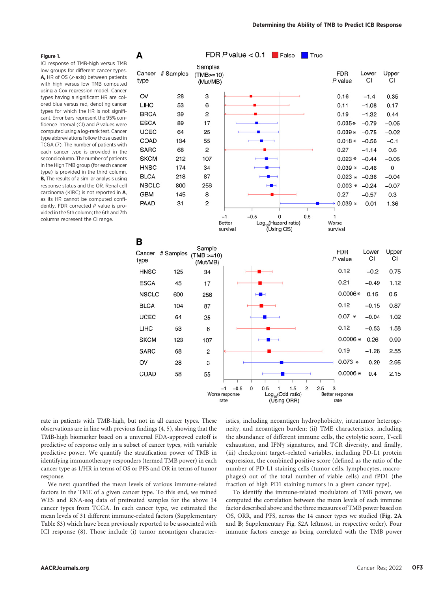#### Figure 1.

ICI response of TMB-high versus TMB low groups for different cancer types. A, HR of OS ( $x$ -axis) between patients with high versus low TMB computed using a Cox regression model. Cancer types having a significant HR are colored blue versus red, denoting cancer types for which the HR is not significant. Error bars represent the 95% confidence interval (CI) and  $P$  values were computed using a log-rank test. Cancer type abbreviations follow those used in TCGA (7). The number of patients with each cancer type is provided in the second column. The number of patients in the High TMB group (for each cancer type) is provided in the third column. **B**, The results of a similar analysis using response status and the OR. Renal cell carcinoma (KIRC) is not reported in A, as its HR cannot be computed confidently. FDR corrected P value is provided in the 5th column; the 6th and 7th columns represent the CI range.



rate in patients with TMB-high, but not in all cancer types. These observations are in line with previous findings (4, 5), showing that the TMB-high biomarker based on a universal FDA-approved cutoff is predictive of response only in a subset of cancer types, with variable predictive power. We quantify the stratification power of TMB in identifying immunotherapy responders (termed TMB power) in each cancer type as 1/HR in terms of OS or PFS and OR in terms of tumor response.

We next quantified the mean levels of various immune-related factors in the TME of a given cancer type. To this end, we mined WES and RNA-seq data of pretreated samples for the above 14 cancer types from TCGA. In each cancer type, we estimated the mean levels of 31 different immune-related factors (Supplementary Table S3) which have been previously reported to be associated with ICI response (8). Those include (i) tumor neoantigen characteristics, including neoantigen hydrophobicity, intratumor heterogeneity, and neoantigen burden; (ii) TME characteristics, including the abundance of different immune cells, the cytolytic score, T-cell exhaustion, and IFNg signatures, and TCR diversity, and finally, (iii) checkpoint target–related variables, including PD-L1 protein expression, the combined positive score (defined as the ratio of the number of PD-L1 staining cells (tumor cells, lymphocytes, macrophages) out of the total number of viable cells) and fPD1 (the fraction of high PD1 staining tumors in a given cancer type).

To identify the immune-related modulators of TMB power, we computed the correlation between the mean levels of each immune factor described above and the three measures of TMB power based on OS, ORR, and PFS, across the 14 cancer types we studied (Fig. 2A and B; Supplementary Fig. S2A leftmost, in respective order). Four immune factors emerge as being correlated with the TMB power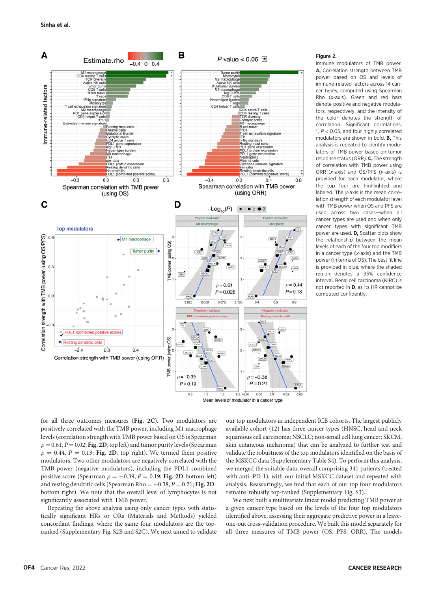

### Mean levels of modulator in a cancer type

#### Figure 2.

Immune modulators of TMB power. A. Correlation strength between TMB power based on OS and levels of immune-related factors across 14 cancer types, computed using Spearman Rho (x-axis). Green and red bars denote positive and negative modulators, respectively, and the intensity of the color denotes the strength of correlation. Significant correlations,  $, P < 0.05$ , and four highly correlated modulators are shown in bold. B, This analysis is repeated to identify modulators of TMB power based on tumor response status (ORR). C, The strength of correlation with TMB power using ORR ( $x$ -axis) and OS/PFS ( $y$ -axis) is provided for each modulator, where the top four are highlighted and labeled. The y-axis is the mean correlation strength of each modulator level with TMB power when OS and PFS are used across two cases—when all cancer types are used and when only cancer types with significant TMB power are used. D, Scatter plots show the relationship between the mean levels of each of the four top modifiers in a cancer type (x-axis) and the TMB power (in terms of OS). The best fit line is provided in blue, where the shaded region denotes a 95% confidence interval. Renal cell carcinoma (KIRC) is not reported in D, as its HR cannot be computed confidently.

for all three outcomes measures (Fig. 2C). Two modulators are positively correlated with the TMB power, including M1 macrophage levels (correlation strength with TMB power based on OS is Spearman  $\rho = 0.61$ ,  $P = 0.02$ ; Fig. 2D, top left) and tumor purity levels (Spearman  $\rho = 0.44$ ,  $P = 0.13$ ; Fig. 2D, top right). We termed them positive modulators. Two other modulators are negatively correlated with the TMB power (negative modulators), including the PDL1 combined positive score (Spearman  $\rho = -0.39$ ,  $P = 0.19$ ; Fig. 2D-bottom-left) and resting dendritic cells (Spearman Rho  $= -0.38, P = 0.21;$  Fig. 2Dbottom right). We note that the overall level of lymphocytes is not significantly associated with TMB power.

Repeating the above analysis using only cancer types with statistically significant HRs or ORs (Materials and Methods) yielded concordant findings, where the same four modulators are the topranked (Supplementary Fig. S2B and S2C). We next aimed to validate our top modulators in independent ICB cohorts. The largest publicly available cohort (12) has three cancer types (HNSC, head and neck squamous cell carcinoma; NSCLC; non-small cell lung cancer; SKCM, skin cutaneous melanoma) that can be analyzed to further test and validate the robustness of the top modulators identified on the basis of the MSKCC data (Supplementary Table S4). To perform this analysis, we merged the suitable data, overall comprising 341 patients (treated with anti–PD-1), with our initial MSKCC dataset and repeated with analysis. Reassuringly, we find that each of our top four modulators remains robustly top-ranked (Supplementary Fig. S3).

We next built a multivariate linear model predicting TMB power at a given cancer type based on the levels of the four top modulators identified above, assessing their aggregate predictive power in a leaveone-out cross-validation procedure. We built this model separately for all three measures of TMB power (OS, PFS, ORR). The models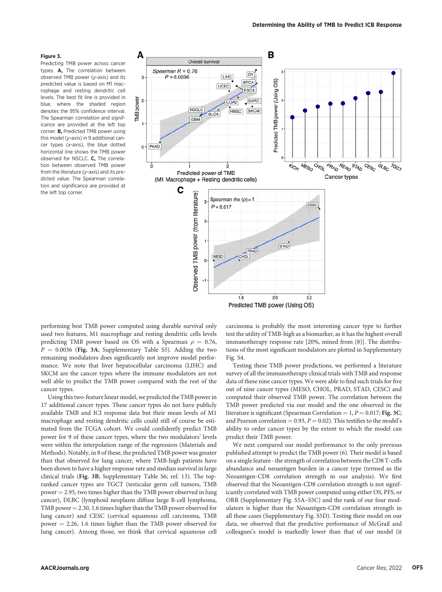#### Figure 3.

Predicting TMB power across cancer types. A, The correlation between observed TMB power (y-axis) and its predicted value is based on M1 macrophage and resting dendritic cell levels. The best fit line is provided in blue, where the shaded region denotes the 95% confidence interval. The Spearman correlation and significance are provided at the left top corner. B, Predicted TMB power using this model (y-axis) in 9 additional cancer types (x-axis), the blue dotted horizontal line shows the TMB power observed for NSCLC. C, The correlation between observed TMB power from the literature (y-axis) and its predicted value. The Spearman correlation and significance are provided at the left top corner.



Predicted TMB power (Using OS)

performing best TMB power computed using durable survival only used two features, M1 macrophage and resting dendritic cells levels predicting TMB power based on OS with a Spearman  $\rho = 0.76$ ,  $P = 0.0036$  (Fig. 3A; Supplementary Table S5). Adding the two remaining modulators does significantly not improve model performance. We note that liver hepatocellular carcinoma (LIHC) and SKCM are the cancer types where the immune modulators are not well able to predict the TMB power compared with the rest of the cancer types.

Using this two-feature linear model, we predicted the TMB power in 17 additional cancer types. These cancer types do not have publicly available TMB and ICI response data but their mean levels of M1 macrophage and resting dendritic cells could still of course be estimated from the TCGA cohort. We could confidently predict TMB power for 9 of these cancer types, where the two modulators' levels were within the interpolation range of the regression (Materials and Methods). Notably, in 8 of these, the predicted TMB power was greater than that observed for lung cancer, where TMB-high patients have been shown to have a higher response rate and median survival in large clinical trials (Fig. 3B; Supplementary Table S6; ref. 13). The topranked cancer types are TGCT (testicular germ cell tumors, TMB  $power = 2.95$ , two times higher than the TMB power observed in lung cancer), DLBC (lymphoid neoplasm diffuse large B-cell lymphoma, TMB power  $= 2.30, 1.6$  times higher than the TMB power observed for lung cancer) and CESC (cervical squamous cell carcinoma, TMB power  $= 2.26$ , 1.6 times higher than the TMB power observed for lung cancer). Among those, we think that cervical squamous cell carcinoma is probably the most interesting cancer type to further test the utility of TMB-high as a biomarker, as it has the highest overall immunotherapy response rate [20%, mined from (8)]. The distributions of the most significant modulators are plotted in Supplementary Fig. S4.

Testing these TMB power predictions, we performed a literature survey of all the immunotherapy clinical trials with TMB and response data of these nine cancer types. We were able to find such trials for five out of nine cancer types (MESO, CHOL, PRAD, STAD, CESC) and computed their observed TMB power. The correlation between the TMB power predicted via our model and the one observed in the literature is significant (Spearman Correlation =  $1, P = 0.017$ ; Fig. 3C; and Pearson correlation = 0.93,  $P = 0.02$ ). This testifies to the model's ability to order cancer types by the extent to which the model can predict their TMB power.

We next compared our model performance to the only previous published attempt to predict the TMB power (6). Their model is based on a single feature - the strength of correlation between the CD8 T-cells abundance and neoantigen burden in a cancer type (termed as the Neoantigen-CD8 correlation strength in our analysis). We first observed that the Neoantigen-CD8 correlation strength is not significantly correlated with TMB power computed using either OS, PFS, or ORR (Supplementary Fig. S5A–S5C) and the rank of our four modulators is higher than the Neoantigen-CD8 correlation strength in all these cases (Supplementary Fig. S5D). Testing their model on our data, we observed that the predictive performance of McGrail and colleagues's model is markedly lower than that of our model (it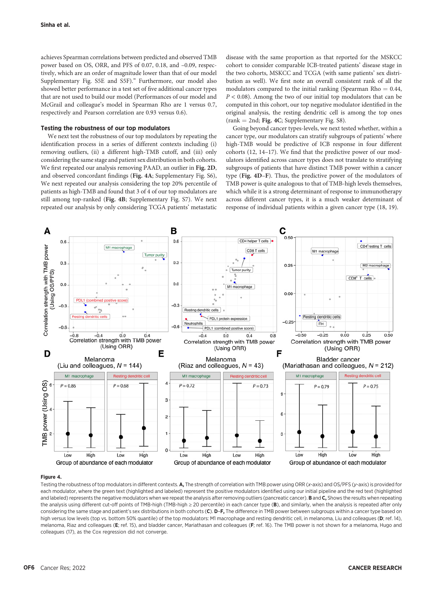achieves Spearman correlations between predicted and observed TMB power based on OS, ORR, and PFS of 0.07, 0.18, and –0.09, respectively, which are an order of magnitude lower than that of our model Supplementary Fig. S5E and S5F)." Furthermore, our model also showed better performance in a test set of five additional cancer types that are not used to build our model (Performances of our model and McGrail and colleague's model in Spearman Rho are 1 versus 0.7, respectively and Pearson correlation are 0.93 versus 0.6).

# Testing the robustness of our top modulators

We next test the robustness of our top modulators by repeating the identification process in a series of different contexts including (i) removing outliers, (ii) a different high-TMB cutoff, and (iii) only considering the same stage and patient sex distribution in both cohorts. We first repeated our analysis removing PAAD, an outlier in Fig. 2D, and observed concordant findings (Fig. 4A; Supplementary Fig. S6), We next repeated our analysis considering the top 20% percentile of patients as high-TMB and found that 3 of 4 of our top modulators are still among top-ranked (Fig. 4B; Supplementary Fig. S7). We next repeated our analysis by only considering TCGA patients' metastatic disease with the same proportion as that reported for the MSKCC cohort to consider comparable ICB-treated patients' disease stage in the two cohorts, MSKCC and TCGA (with same patients' sex distribution as well). We first note an overall consistent rank of all the modulators compared to the initial ranking (Spearman Rho  $= 0.44$ ,  $P < 0.08$ ). Among the two of our initial top modulators that can be computed in this cohort, our top negative modulator identified in the original analysis, the resting dendritic cell is among the top ones  $(rank = 2nd; Fig. 4C; Supplementary Fig. S8).$ 

Going beyond cancer types-levels, we next tested whether, within a cancer type, our modulators can stratify subgroups of patients' where high-TMB would be predictive of ICB response in four different cohorts (12, 14–17). We find that the predictive power of our modulators identified across cancer types does not translate to stratifying subgroups of patients that have distinct TMB power within a cancer type (Fig. 4D–F). Thus, the predictive power of the modulators of TMB power is quite analogous to that of TMB-high levels themselves, which while it is a strong determinant of response to immunotherapy across different cancer types, it is a much weaker determinant of response of individual patients within a given cancer type (18, 19).



#### Figure 4.

Testing the robustness of top modulators in different contexts. A, The strength of correlation with TMB power using ORR (x-axis) and OS/PFS (y-axis) is provided for each modulator, where the green text (highlighted and labeled) represent the positive modulators identified using our initial pipeline and the red text (highlighted and labeled) represents the negative modulators when we repeat the analysis after removing outliers (pancreatic cancer). B and C, Shows the results when repeating the analysis using different cut-off points of TMB-high (TMB-high ≥ 20 percentile) in each cancer type (B), and similarly, when the analysis is repeated after only considering the same stage and patient's sex distributions in both cohorts (C). D-F, The difference in TMB power between subgroups within a cancer type based on high versus low levels (top vs. bottom 50% quantile) of the top modulators: M1 macrophage and resting dendritic cell, in melanoma, Liu and colleagues (D; ref. 14), melanoma, Riaz and colleagues (E; ref. 15), and bladder cancer, Mariathasan and colleagues (F; ref. 16). The TMB power is not shown for a melanoma, Hugo and colleagues (17), as the Cox regression did not converge.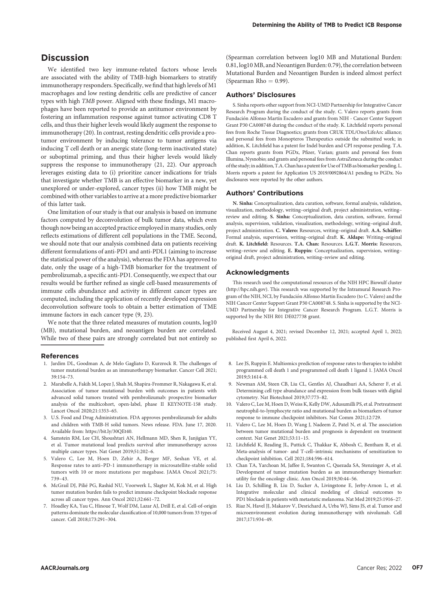We identified two key immune-related factors whose levels are associated with the ability of TMB-high biomarkers to stratify immunotherapy responders. Specifically, we find that high levels of M1 macrophages and low resting dendritic cells are predictive of cancer types with high TMB power. Aligned with these findings, M1 macrophages have been reported to provide an antitumor environment by fostering an inflammation response against tumor activating CD8 T cells, and thus their higher levels would likely augment the response to immunotherapy (20). In contrast, resting dendritic cells provide a protumor environment by inducing tolerance to tumor antigens via inducing T cell death or an anergic state (long-term inactivated state) or suboptimal priming, and thus their higher levels would likely suppress the response to immunotherapy (21, 22). Our approach leverages existing data to (i) prioritize cancer indications for trials that investigate whether TMB is an effective biomarker in a new, yet unexplored or under-explored, cancer types (ii) how TMB might be combined with other variables to arrive at a more predictive biomarker of this latter task.

One limitation of our study is that our analysis is based on immune factors computed by deconvolution of bulk tumor data, which even though now being an accepted practice employed in many studies, only reflects estimations of different cell populations in the TME. Second, we should note that our analysis combined data on patients receiving different formulations of anti-PD1 and anti-PDL1 (aiming to increase the statistical power of the analysis), whereas the FDA has approved to date, only the usage of a high-TMB biomarker for the treatment of pembrolizumab, a specific anti-PD1. Consequently, we expect that our results would be further refined as single cell-based measurements of immune cells abundance and activity in different cancer types are computed, including the application of recently developed expression deconvolution software tools to obtain a better estimation of TME immune factors in each cancer type (9, 23).

We note that the three related measures of mutation counts, log10 (MB), mutational burden, and neoantigen burden are correlated. While two of these pairs are strongly correlated but not entirely so

### References

- 1. Jardim DL, Goodman A, de Melo Gagliato D, Kurzrock R. The challenges of tumor mutational burden as an immunotherapy biomarker. Cancer Cell 2021; 39:154–73.
- 2. Marabelle A, Fakih M, Lopez J, Shah M, Shapira-Frommer R, Nakagawa K, et al. Association of tumor mutational burden with outcomes in patients with advanced solid tumors treated with pembrolizumab: prospective biomarker analysis of the multicohort, open-label, phase II KEYNOTE-158 study. Lancet Oncol 2020;21:1353–65.
- 3. U.S. Food and Drug Administration. FDA approves pembrolizumab for adults and children with TMB-H solid tumors. News release. FDA. June 17, 2020. Available from: [https://bit.ly/30QEt40.](https://bit.ly/30QEt40)
- 4. Samstein RM, Lee CH, Shoushtari AN, Hellmann MD, Shen R, Janjigian YY, et al. Tumor mutational load predicts survival after immunotherapy across multiple cancer types. Nat Genet 2019;51:202–6.
- 5. Valero C, Lee M, Hoen D, Zehir A, Berger MF, Seshan VE, et al. Response rates to anti–PD-1 immunotherapy in microsatellite-stable solid tumors with 10 or more mutations per megabase. JAMA Oncol 2021;75: 739–43.
- 6. McGrail DJ, Pilié PG, Rashid NU, Voorwerk L, Slagter M, Kok M, et al. High tumor mutation burden fails to predict immune checkpoint blockade response across all cancer types. Ann Oncol 2021;32:661–72.
- 7. Hoadley KA, Yau C, Hinoue T, Wolf DM, Lazar AJ, Drill E, et al. Cell-of-origin patterns dominate the molecular classification of 10,000 tumors from 33 types of cancer. Cell 2018;173:291–304.

(Spearman correlation between log10 MB and Mutational Burden: 0.81, log10 MB, and Neoantigen Burden: 0.79), the correlation between Mutational Burden and Neoantigen Burden is indeed almost perfect (Spearman Rho  $= 0.99$ ).

### Authors' Disclosures

S. Sinha reports other support from NCI-UMD Partnership for Integrative Cancer Research Program during the conduct of the study. C. Valero reports grants from Fundación Alfonso Martín Escudero and grants from NIH - Cancer Center Support Grant P30 CA008748 during the conduct of the study. K. Litchfield reports personal fees from Roche Tissue Diagnostics; grants from CRUK TDL/Ono/LifeArc alliance; and personal fees from Monopteros Therapeutics outside the submitted work; in addition, K. Litchfield has a patent for Indel burden and CPI response pending. T.A. Chan reports grants from PGDx, Pfizer, Varian; grants and personal fees from Illumina, Nysnobio; and grants and personal fees from AstraZeneca during the conduct of the study; in addition, T.A. Chan has a patent for Use of TMB as biomarker pending. L. Morris reports a patent for Application US 2019/0092864/A1 pending to PGDx. No disclosures were reported by the other authors.

# Authors' Contributions

N. Sinha: Conceptualization, data curation, software, formal analysis, validation, visualization, methodology, writing–original draft, project administration, writing– review and editing. S. Sinha: Conceptualization, data curation, software, formal analysis, supervision, validation, visualization, methodology, writing–original draft, project administration. C. Valero: Resources, writing-original draft. A.A. Schäffer: Formal analysis, supervision, writing–original draft. K. Aldape: Writing–original draft. K. Litchfield: Resources. T.A. Chan: Resources. L.G.T. Morris: Resources, writing–review and editing. E. Ruppin: Conceptualization, supervision, writing– original draft, project administration, writing–review and editing.

## Acknowledgments

This research used the computational resources of the NIH HPC Biowulf cluster ([http://hpc.nih.gov\)](http://hpc.nih.gov). This research was supported by the Intramural Research Program of the NIH, NCI, by Fundación Alfonso Martín Escudero (to C. Valero) and the NIH Cancer Center Support Grant P30 CA008748. S. Sinha is supported by the NCI-UMD Partnership for Integrative Cancer Research Program. L.G.T. Morris is supported by the NIH R01 DE027738 grant.

Received August 4, 2021; revised December 12, 2021; accepted April 1, 2022; published first April 6, 2022.

- 8. Lee JS, Ruppin E. Multiomics prediction of response rates to therapies to inhibit programmed cell death 1 and programmed cell death 1 ligand 1. JAMA Oncol 2019;5:1614–8.
- 9. Newman AM, Steen CB, Liu CL, Gentles AJ, Chaudhuri AA, Scherer F, et al. Determining cell type abundance and expression from bulk tissues with digital cytometry. Nat Biotechnol 2019;37:773–82.
- 10. Valero C, Lee M, Hoen D, Weiss K, Kelly DW, Adusumilli PS, et al. Pretreatment neutrophil-to-lymphocyte ratio and mutational burden as biomarkers of tumor response to immune checkpoint inhibitors. Nat Comm 2021;12:729.
- 11. Valero C, Lee M, Hoen D, Wang J, Nadeem Z, Patel N, et al. The association between tumor mutational burden and prognosis is dependent on treatment context. Nat Genet 2021;53:11–15.
- 12. Litchfield K, Reading JL, Puttick C, Thakkar K, Abbosh C, Bentham R, et al. Meta-analysis of tumor- and T-cell–intrinsic mechanisms of sensitization to checkpoint inhibition. Cell 2021;184:596–614.
- 13. Chan TA, Yarchoan M, Jaffee E, Swanton C, Quezada SA, Stenzinger A, et al. Development of tumor mutation burden as an immunotherapy biomarker: utility for the oncology clinic. Ann Oncol 2019;30:44–56.
- 14. Liu D, Schilling B, Liu D, Sucker A, Livingstone E, Jerby-Arnon L, et al. Integrative molecular and clinical modeling of clinical outcomes to PD1 blockade in patients with metastatic melanoma. Nat Med 2019;25:1916–27.
- 15. Riaz N, Havel II, Makarov V, Desrichard A, Urba WJ, Sims JS, et al. Tumor and microenvironment evolution during immunotherapy with nivolumab. Cell 2017;171:934–49.